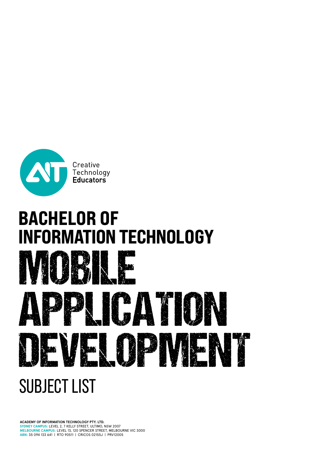

# BACHELOR OF<br>INFORMATION TECHNOLOGY



# SUBJECT LIST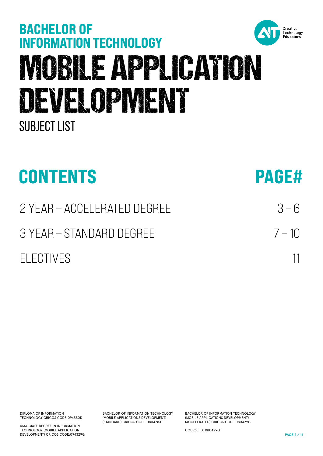

MOBILE APPLICATION

BACHELOR OF<br>INFORMATION TECHNOLOGY

DEVELOPMENT

DIPLOMA OF INFORMATION TECHNOLOGY CRICOS CODE:094330D

SUBJECT LIST

ASSOCIATE DEGREE IN INFORMATION TECHNOLOGY (MOBILE APPLICATION DEVELOPMENT) CRICOS CODE:094329G BACHELOR OF INFORMATION TECHNOLOGY (MOBILE APPLICATIONS DEVELOPMENT) (STANDARD) CRICOS CODE:080428J

BACHELOR OF INFORMATION TECHNOLOGY (MOBILE APPLICATIONS DEVELOPMENT) (ACCELERATED) CRICOS CODE:080429G

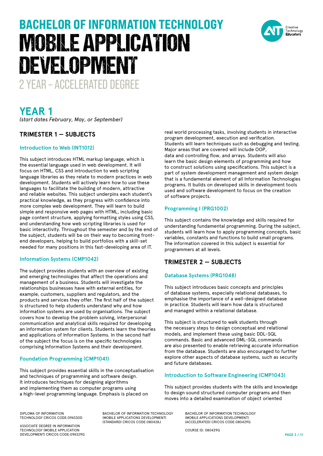

# **YEAR 1**

*(start dates February, May, or September)*

#### **TRIMESTER 1 — SUBJECTS**

#### **Introduction to Web (INT1012)**

This subject introduces HTML markup language, which is the essential language used in web development. It will focus on HTML, CSS and introduction to web scripting language libraries as they relate to modern practices in web development. Students will actively learn how to use these languages to facilitate the building of modern, attractive and reliable websites. This subject underpins each student's practical knowledge, as they progress with confidence into more complex web development. They will learn to build simple and responsive web pages with HTML, including basic page content structure, applying formatting styles using CSS, and understanding how web scripting libraries is used for basic interactivity. Throughout the semester and by the end of the subject, students will be on their way to becoming frontend developers, helping to build portfolios with a skill-set needed for many positions in this fast-developing area of IT.

#### **Information Systems (CMP1042)**

The subject provides students with an overview of existing and emerging technologies that affect the operations and management of a business. Students will investigate the relationships businesses have with external entities, for example, customers, suppliers and regulators, and the products and services they offer. The first half of the subject is structured to help students understand why and how information systems are used by organisations. The subject covers how to develop the problem solving, interpersonal communication and analytical skills required for developing an information system for clients. Students learn the theories and applications of Information Systems. In the second half of the subject the focus is on the specific technologies comprising Information Systems and their development.

#### **Foundation Programming (CMP1041)**

This subject provides essential skills in the conceptualisation and techniques of programming and software design. It introduces techniques for designing algorithms and implementing them as computer programs using a high-level programming language. Emphasis is placed on

real world processing tasks, involving students in interactive program development, execution and verification. Students will learn techniques such as debugging and testing. Major areas that are covered will include OOP, data and controlling flow, and arrays. Students will also learn the basic design elements of programming and how to construct solutions using specifications. This subject is a part of system development management and system design that is a fundamental element of all Information Technologies programs. It builds on developed skills in development tools used and software development to focus on the creation of software projects.

#### **Programming I (PRG1002)**

This subject contains the knowledge and skills required for understanding fundamental programming. During the subject, students will learn how to apply programming concepts, basic variables, constants and functions to build small programs. The information covered in this subject is essential for programmers at all levels.

#### **TRIMESTER 2 — SUBJECTS**

#### **Database Systems (PRG1048)**

This subject introduces basic concepts and principles of database systems, especially relational databases, to emphasise the importance of a well-designed database in practice. Students will learn how data is structured and managed within a relational database.

This subject is structured to walk students through the necessary steps to design conceptual and relational models, and implement these using basic DDL-SQL commands. Basic and advanced DML-SQL commands are also presented to enable retrieving accurate information from the database. Students are also encouraged to further explore other aspects of database systems, such as security and future databases.

#### **Introduction to Software Engineering (CMP1043)**

This subject provides students with the skills and knowledge to design sound structured computer programs and then moves into a detailed examination of object oriented

DIPLOMA OF INFORMATION TECHNOLOGY CRICOS CODE:094330D

ASSOCIATE DEGREE IN INFORMATION TECHNOLOGY (MOBILE APPLICATION DEVELOPMENT) CRICOS CODE:094329G BACHELOR OF INFORMATION TECHNOLOGY (MOBILE APPLICATIONS DEVELOPMENT) (STANDARD) CRICOS CODE:080428J

BACHELOR OF INFORMATION TECHNOLOGY (MOBILE APPLICATIONS DEVELOPMENT) (ACCELERATED) CRICOS CODE:080429G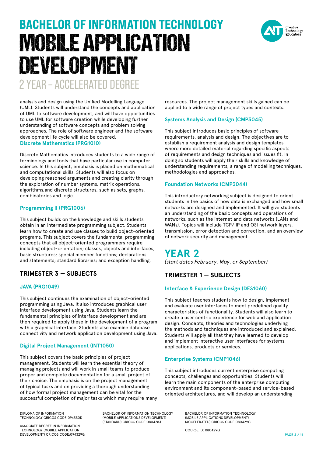

analysis and design using the Unified Modelling Language (UML). Students will understand the concepts and application of UML to software development, and will have opportunities to use UML for software creation while developing further understanding of software concepts and problem solving approaches. The role of software engineer and the software development life cycle will also be covered. **Discrete Mathematics (PRG1010)**

Discrete Mathematics introduces students to a wide range of terminology and tools that have particular use in computer science. In this subject, emphasis is placed on mathematical and computational skills. Students will also focus on developing reasoned arguments and creating clarity through the exploration of number systems, matrix operations, algorithms,and discrete structures, such as sets, graphs, combinatorics and logic.

#### **Programming II (PRG1006)**

This subject builds on the knowledge and skills students obtain in an intermediate programming subject. Students learn how to create and use classes to build object-oriented programs. This subject covers the fundamental programming concepts that all object-oriented programmers require including object-orientation; classes, objects and interfaces; basic structures; special member functions; declarations and statements; standard libraries; and exception handling.

### **TRIMESTER 3 — SUBJECTS**

#### **JAVA (PRG1049)**

This subject continues the examination of object-oriented programming using Java. It also introduces graphical user interface development using Java. Students learn the fundamental principles of interface development and are then required to apply these in the development of a program with a graphical interface. Students also examine database connectivity and network application development using Java.

#### **Digital Project Management (INT1050)**

This subject covers the basic principles of project management. Students will learn the essential theory of managing projects and will work in small teams to produce proper and complete documentation for a small project of their choice. The emphasis is on the project management of typical tasks and on providing a thorough understanding of how formal project management can be vital for the successful completion of major tasks which may require many resources. The project management skills gained can be applied to a wide range of project types and contexts.

#### **Systems Analysis and Design (CMP3045)**

This subject introduces basic principles of software requirements, analysis and design. The objectives are to establish a requirement analysis and design templates where more detailed material regarding specific aspects of requirements and design techniques and issues fit. In doing so students will apply their skills and knowledge of understanding requirements, a range of modelling techniques, methodologies and approaches.

#### **Foundation Networks (CMP3044)**

This introductory networking subject is designed to orient students in the basics of how data is exchanged and how small networks are designed and implemented. It will give students an understanding of the basic concepts and operations of networks, such as the internet and data networks (LANs and WANs). Topics will include TCP/IP and OSI network layers, transmission, error detection and correction, and an overview of network security and management.

### **YEAR 2** *(start dates February, May, or September)*

### **TRIMESTER 1 — SUBJECTS**

#### **Interface & Experience Design (DES1060)**

This subject teaches students how to design, implement and evaluate user interfaces to meet predefined quality characteristics of functionality. Students will also learn to create a user centric experience for web and application design. Concepts, theories and technologies underlying the methods and techniques are introduced and explained. Students will apply all that they have learned to develop and implement interactive user interfaces for systems, applications, products or services.

#### **Enterprise Systems (CMP1046)**

This subject introduces current enterprise computing concepts, challenges and opportunities. Students will learn the main components of the enterprise computing environment and its component-based and service-based oriented architectures, and will develop an understanding

DIPLOMA OF INFORMATION TECHNOLOGY CRICOS CODE:094330D

ASSOCIATE DEGREE IN INFORMATION TECHNOLOGY (MOBILE APPLICATION DEVELOPMENT) CRICOS CODE:094329G BACHELOR OF INFORMATION TECHNOLOGY (MOBILE APPLICATIONS DEVELOPMENT) (STANDARD) CRICOS CODE:080428J

BACHELOR OF INFORMATION TECHNOLOGY (MOBILE APPLICATIONS DEVELOPMENT) (ACCELERATED) CRICOS CODE:080429G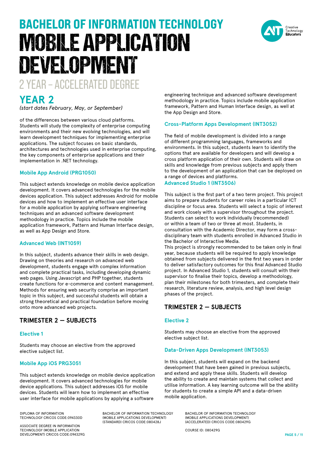

*(start dates February, May, or September)*

of the differences between various cloud platforms. Students will study the complexity of enterprise computing environments and their new evolving technologies, and will learn development techniques for implementing enterprise applications. The subject focuses on basic standards, architectures and technologies used in enterprise computing, the key components of enterprise applications and their implementation in .NET technology.

#### **Mobile App Android (PRG1050)**

This subject extends knowledge on mobile device application development. It covers advanced technologies for the mobile devices application. This subject addresses Android for mobile devices and how to implement an effective user interface for a mobile application by applying software engineering techniques and an advanced software development methodology in practice. Topics include the mobile application framework, Pattern and Human Interface design, as well as App Design and Store.

#### **Advanced Web (INT1059)**

In this subject, students advance their skills in web design. Drawing on theories and research on advanced web development, students engage with complex information and complete practical tasks, including developing dynamic web pages. Using Javascript and PHP together, students create functions for e-commerce and content management. Methods for ensuring web security comprise an important topic in this subject, and successful students will obtain a strong theoretical and practical foundation before moving onto more advanced web projects.

#### **TRIMESTER 2 — SUBJECTS**

#### **Elective 1**

Students may choose an elective from the approved elective subject list.

#### **Mobile App iOS PRG3051**

This subject extends knowledge on mobile device application development. It covers advanced technologies for mobile device applications. This subject addresses iOS for mobile devices. Students will learn how to implement an effective user interface for mobile applications by applying a software

DIPLOMA OF INFORMATION TECHNOLOGY CRICOS CODE:094330D

ASSOCIATE DEGREE IN INFORMATION TECHNOLOGY (MOBILE APPLICATION DEVELOPMENT) CRICOS CODE:094329G BACHELOR OF INFORMATION TECHNOLOGY (MOBILE APPLICATIONS DEVELOPMENT) (STANDARD) CRICOS CODE:080428J

engineering technique and advanced software development methodology in practice. Topics include mobile application framework, Pattern and Human Interface design, as well at the App Design and Store.

#### **Cross-Platform Apps Development (INT3052)**

The field of mobile development is divided into a range of different programming languages, frameworks and environments. In this subject, students learn to identify the options that are available for developers and will develop a cross platform application of their own. Students will draw on skills and knowledge from previous subjects and apply them to the development of an application that can be deployed on a range of devices and platforms.

#### **Advanced Studio 1 (INT3506)**

This subject is the first part of a two term project. This project aims to prepare students for career roles in a particular ICT discipline or focus area. Students will select a topic of interest and work closely with a supervisor throughout the project. Students can select to work individually (recommended) or within a team of two or three at most. Students, in consultation with the Academic Director, may form a crossdisciplinary team with students enrolled in Advanced Studio in the Bachelor of Interactive Media.

This project is strongly recommended to be taken only in final year, because students will be required to apply knowledge obtained from subjects delivered in the first two years in order to deliver satisfactory outcomes for this final Advanced Studio project. In Advanced Studio 1, students will consult with their supervisor to finalise their topics, develop a methodology, plan their milestones for both trimesters, and complete their research, literature review, analysis, and high level design phases of the project.

#### **TRIMESTER 2 — SUBJECTS**

#### **Elective 2**

Students may choose an elective from the approved elective subject list.

#### **Data-Driven Apps Development (INT3053)**

In this subject, students will expand on the backend development that have been gained in previous subjects, and extend and apply these skills. Students will develop the ability to create and maintain systems that collect and utilise information. A key learning outcome will be the ability for students to create a simple API and a data-driven mobile application.

> BACHELOR OF INFORMATION TECHNOLOGY (MOBILE APPLICATIONS DEVELOPMENT) (ACCELERATED) CRICOS CODE:080429G

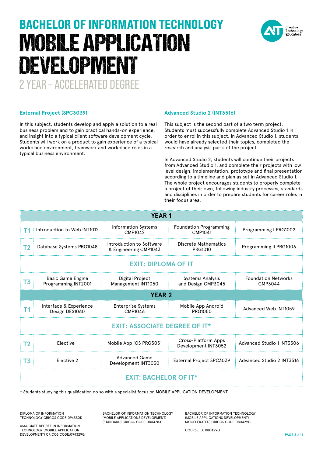

In this subject, students develop and apply a solution to a real business problem and to gain practical hands-on experience, and insight into a typical client software development cycle. Students will work on a product to gain experience of a typical workplace environment, teamwork and workplace roles in a typical business environment.

#### **Advanced Studio 2 (INT3516)**

This subject is the second part of a two term project. Students must successfully complete Advanced Studio 1 in order to enrol in this subject. In Advanced Studio 1, students would have already selected their topics, completed the research and analysis parts of the project.

In Advanced Studio 2, students will continue their projects from Advanced Studio 1, and complete their projects with low level design, implementation, prototype and final presentation according to a timeline and plan as set in Advanced Studio 1. The whole project encourages students to properly complete a project of their own, following industry processes, standards and disciplines in order to prepare students for career roles in their focus area.

| <b>YEAR1</b>                         |                                                                                                         |                                                   |                                            |                                       |  |  |
|--------------------------------------|---------------------------------------------------------------------------------------------------------|---------------------------------------------------|--------------------------------------------|---------------------------------------|--|--|
| T1                                   | Introduction to Web INT1012                                                                             | Information Systems<br>CMP1042                    | <b>Foundation Programming</b><br>CMP1041   | Programming I PRG1002                 |  |  |
| T <sub>2</sub>                       | Database Systems PRG1048                                                                                | Introduction to Software<br>& Engineering CMP1043 | Discrete Mathematics<br>PRG1010            | Programming II PRG1006                |  |  |
| <b>EXIT: DIPLOMA OF IT</b>           |                                                                                                         |                                                   |                                            |                                       |  |  |
| T <sub>3</sub>                       | <b>Basic Game Engine</b><br>Programming INT2001                                                         | Digital Project<br>Management INT1050             | Systems Analysis<br>and Design CMP3045     | <b>Foundation Networks</b><br>CMP3044 |  |  |
| <b>YEAR 2</b>                        |                                                                                                         |                                                   |                                            |                                       |  |  |
| <b>T1</b>                            | Interface & Experience<br>Design DES1060                                                                | <b>Enterprise Systems</b><br>CMP1046              | Mobile App Android<br>PRG1050              | Advanced Web INT1059                  |  |  |
| <b>EXIT: ASSOCIATE DEGREE OF IT*</b> |                                                                                                         |                                                   |                                            |                                       |  |  |
| T <sub>2</sub>                       | Elective 1                                                                                              | Mobile App iOS PRG3051                            | Cross-Platform Apps<br>Development INT3052 | Advanced Studio 1 INT3506             |  |  |
| T <sub>3</sub>                       | Elective 2                                                                                              | <b>Advanced Game</b><br>Development INT3030       | External Project SPC3039                   | Advanced Studio 2 INT3516             |  |  |
| <b>EXIT: BACHELOR OF IT*</b>         |                                                                                                         |                                                   |                                            |                                       |  |  |
|                                      | * Students studying this qualification do so with a specialist focus on MORILE APPLICATION DEVELOPMENT. |                                                   |                                            |                                       |  |  |

alification do so with a specialist focus on MOBILE APPLICATION DEVELOPMENT

DIPLOMA OF INFORMATION TECHNOLOGY CRICOS CODE:094330D

ASSOCIATE DEGREE IN INFORMATION TECHNOLOGY (MOBILE APPLICATION DEVELOPMENT) CRICOS CODE:094329G BACHELOR OF INFORMATION TECHNOLOGY (MOBILE APPLICATIONS DEVELOPMENT) (STANDARD) CRICOS CODE:080428J

BACHELOR OF INFORMATION TECHNOLOGY (MOBILE APPLICATIONS DEVELOPMENT) (ACCELERATED) CRICOS CODE:080429G

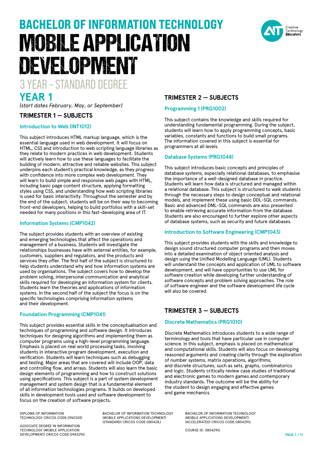# BACHELOR OF INFORMATION TECHNOLOGY MOBILE APPLICATION DEVELOPMENT

3 YEAR – STANDARD DEGREE

# **YEAR 1**

*(start dates February, May, or September)*

#### **TRIMESTER 1 — SUBJECTS**

#### **Introduction to Web (INT1012)**

This subject introduces HTML markup language, which is the essential language used in web development. It will focus on HTML, CSS and introduction to web scripting language libraries as they relate to modern practices in web development. Students will actively learn how to use these languages to facilitate the building of modern, attractive and reliable websites. This subject underpins each student's practical knowledge, as they progress with confidence into more complex web development. They will learn to build simple and responsive web pages with HTML, including basic page content structure, applying formatting styles using CSS, and understanding how web scripting libraries is used for basic interactivity. Throughout the semester and by the end of the subject, students will be on their way to becoming front-end developers, helping to build portfolios with a skill-set needed for many positions in this fast-developing area of IT.

#### **Information Systems (CMP1042)**

The subject provides students with an overview of existing and emerging technologies that affect the operations and management of a business. Students will investigate the relationships businesses have with external entities, for example, customers, suppliers and regulators, and the products and services they offer. The first half of the subject is structured to help students understand why and how information systems are used by organisations. The subject covers how to develop the problem solving, interpersonal communication and analytical skills required for developing an information system for clients. Students learn the theories and applications of information systems. In the second half of the subject the focus is on the specific technologies comprising information systems and their development.

#### **Foundation Programming (CMP1041)**

This subject provides essential skills in the conceptualisation and techniques of programming and software design. It introduces techniques for designing algorithms and implementing them as computer programs using a high-level programming language. Emphasis is placed on real world processing tasks, involving students in interactive program development, execution and verification. Students will learn techniques such as debugging and testing. Major areas that are covered will include OOP, data and controlling flow, and arrays. Students will also learn the basic design elements of programming and how to construct solutions using specifications. This subject is a part of system development management and system design that is a fundamental element of all information technologies programs. It builds on developed skills in development tools used and software development to focus on the creation of software projects.

DIPLOMA OF INFORMATION TECHNOLOGY CRICOS CODE:094330D

ASSOCIATE DEGREE IN INFORMATION TECHNOLOGY (MOBILE APPLICATION DEVELOPMENT) CRICOS CODE:094329G

BACHELOR OF INFORMATION TECHNOLOGY (MOBILE APPLICATIONS DEVELOPMENT) (STANDARD) CRICOS CODE:080428J

### **TRIMESTER 2 — SUBJECTS**

#### **Programming 1 (PRG1002)**

This subject contains the knowledge and skills required for understanding fundamental programming. During the subject, students will learn how to apply programming concepts, basic variables, constants and functions to build small programs. The information covered in this subject is essential for programmers at all levels.

#### **Database Systems (PRG1048)**

This subject introduces basic concepts and principles of database systems, especially relational databases, to emphasise the importance of a well-designed database in practice. Students will learn how data is structured and managed within a relational database. This subject is structured to walk students through the necessary steps to design conceptual and relational models, and implement these using basic DDL-SQL commands. Basic and advanced DML-SQL commands are also presented to enable retrieving accurate information from the database. Students are also encouraged to further explore other aspects of database systems, such as security and future databases.

#### **Introduction to Software Engineering (CMP1043)**

This subject provides students with the skills and knowledge to design sound structured computer programs and then moves into a detailed examination of object oriented analysis and design using the Unified Modelling Language (UML). Students will understand the concepts and application of UML to software development, and will have opportunities to use UML for software creation while developing further understanding of software concepts and problem solving approaches. The role of software engineer and the software development life cycle will also be covered.

### **TRIMESTER 3 — SUBJECTS**

#### **Discrete Mathematics (PRG1010)**

Discrete Mathematics introduces students to a wide range of terminology and tools that have particular use in computer science. In this subject, emphasis is placed on mathematical and computational skills. Students will also focus on developing reasoned arguments and creating clarity through the exploration of number systems, matrix operations, algorithms, and discrete structures, such as sets, graphs, combinatorics and logic. Students critically review case studies of traditional and electronic games to modern games and contemporary industry standards. The outcome will be the ability for the student to design engaging and effective games and game mechanics.

> BACHELOR OF INFORMATION TECHNOLOGY (MOBILE APPLICATIONS DEVELOPMENT) (ACCELERATED) CRICOS CODE:080429G

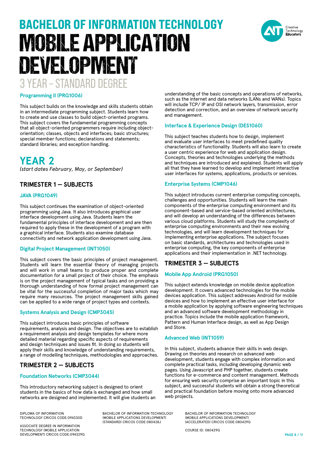#### **Programming II (PRG1006)**

This subject builds on the knowledge and skills students obtain in an intermediate programming subject. Students learn how to create and use classes to build object-oriented programs. This subject covers the fundamental programming concepts that all object-oriented programmers require including objectorientation; classes, objects and interfaces; basic structures; special member functions; declarations and statements; standard libraries; and exception handling.

# **YEAR 2**

*(start dates February, May, or September)*

#### **TRIMESTER 1 — SUBJECTS**

#### **JAVA (PRG1049)**

This subject continues the examination of object-oriented programming using Java. It also introduces graphical user interface development using Java. Students learn the fundamental principles of interface development and are then required to apply these in the development of a program with a graphical interface. Students also examine database connectivity and network application development using Java.

#### **Digital Project Management (INT1050)**

This subject covers the basic principles of project management. Students will learn the essential theory of managing projects and will work in small teams to produce proper and complete documentation for a small project of their choice. The emphasis is on the project management of typical tasks and on providing a thorough understanding of how formal project management can be vital for the successful completion of major tasks which may require many resources. The project management skills gained can be applied to a wide range of project types and contexts.

#### **Systems Analysis and Design (CMP3045)**

This subject introduces basic principles of software requirements, analysis and design. The objectives are to establish a requirement analysis and design templates for where more detailed material regarding specific aspects of requirements and design techniques and issues fit. In doing so students will apply their skills and knowledge of understanding requirements, a range of modelling techniques, methodologies and approaches.

#### **TRIMESTER 2 — SUBJECTS**

#### **Foundation Networks (CMP3044)**

This introductory networking subject is designed to orient students in the basics of how data is exchanged and how small networks are designed and implemented. It will give students an

DIPLOMA OF INFORMATION TECHNOLOGY CRICOS CODE:094330D BACHELOR OF INFORMATION TECHNOLOGY (MOBILE APPLICATIONS DEVELOPMENT) (STANDARD) CRICOS CODE:080428J

ASSOCIATE DEGREE IN INFORMATION TECHNOLOGY (MOBILE APPLICATION DEVELOPMENT) CRICOS CODE:094329G

understanding of the basic concepts and operations of networks, such as the internet and data networks (LANs and WANs). Topics will include TCP/ IP and OSI network layers, transmission, error detection and correction, and an overview of network security and management.

#### **Interface & Experience Design (DES1060)**

This subject teaches students how to design, implement and evaluate user interfaces to meet predefined quality characteristics of functionality. Students will also learn to create a user centric experience for web and application design. Concepts, theories and technologies underlying the methods and techniques are introduced and explained. Students will apply all that they have learned to develop and implement interactive user interfaces for systems, applications, products or services.

#### **Enterprise Systems (CMP1046)**

This subject introduces current enterprise computing concepts, challenges and opportunities. Students will learn the main components of the enterprise computing environment and its component-based and service-based oriented architectures, and will develop an understanding of the differences between various cloud platforms. Students will study the complexity of enterprise computing environments and their new evolving technologies, and will learn development techniques for implementing enterprise applications. The subject focuses on basic standards, architectures and technologies used in enterprise computing, the key components of enterprise applications and their implementation in .NET technology.

### **TRIMESTER 3 — SUBJECTS**

#### **Mobile App Android (PRG1050)**

This subject extends knowledge on mobile device application development. It covers advanced technologies for the mobile devices application. This subject addresses Android for mobile devices and how to implement an effective user interface for a mobile application by applying software engineering techniques and an advanced software development methodology in practice. Topics include the mobile application framework, Pattern and Human Interface design, as well as App Design and Store.

#### **Advanced Web (INT1059)**

In this subject, students advance their skills in web design. Drawing on theories and research on advanced web development, students engage with complex information and complete practical tasks, including developing dynamic web pages. Using Javascript and PHP together, students create functions for e-commerce and content management. Methods for ensuring web security comprise an important topic in this subject, and successful students will obtain a strong theoretical and practical foundation before moving onto more advanced web projects.

> BACHELOR OF INFORMATION TECHNOLOGY (MOBILE APPLICATIONS DEVELOPMENT) (ACCELERATED) CRICOS CODE:080429G

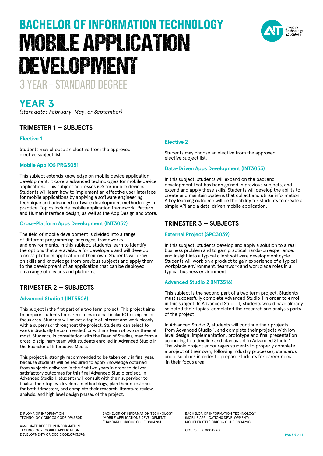

*(start dates February, May, or September)*

### **TRIMESTER 1 — SUBJECTS**

#### **Elective 1**

Students may choose an elective from the approved elective subject list.

#### **Mobile App iOS PRG3051**

This subject extends knowledge on mobile device application development. It covers advanced technologies for mobile device applications. This subject addresses iOS for mobile devices. Students will learn how to implement an effective user interface for mobile applications by applying a software engineering technique and advanced software development methodology in practice. Topics include mobile application framework, Pattern and Human Interface design, as well at the App Design and Store.

#### **Cross-Platform Apps Development (INT3052)**

The field of mobile development is divided into a range of different programming languages, frameworks and environments. In this subject, students learn to identify the options that are available for developers and will develop a cross platform application of their own. Students will draw on skills and knowledge from previous subjects and apply them to the development of an application that can be deployed on a range of devices and platforms.

### **TRIMESTER 2 — SUBJECTS**

#### **Advanced Studio 1 (INT3506)**

This subject is the first part of a two term project. This project aims to prepare students for career roles in a particular ICT discipline or focus area. Students will select a topic of interest and work closely with a supervisor throughout the project. Students can select to work individually (recommended) or within a team of two or three at most. Students, in consultation with the Dean of Studies, may form a cross-disciplinary team with students enrolled in Advanced Studio in the Bachelor of Interactive Media.

This project is strongly recommended to be taken only in final year, because students will be required to apply knowledge obtained from subjects delivered in the first two years in order to deliver satisfactory outcomes for this final Advanced Studio project. In Advanced Studio 1, students will consult with their supervisor to finalise their topics, develop a methodology, plan their milestones for both trimesters, and complete their research, literature review, analysis, and high level design phases of the project.

#### **Elective 2**

Students may choose an elective from the approved elective subject list.

#### **Data-Driven Apps Development (INT3053)**

In this subject, students will expand on the backend development that has been gained in previous subjects, and extend and apply these skills. Students will develop the ability to create and maintain systems that collect and utilise information. A key learning outcome will be the ability for students to create a simple API and a data-driven mobile application.

#### **TRIMESTER 3 — SUBJECTS**

#### **External Project (SPC3039)**

In this subject, students develop and apply a solution to a real business problem and to gain practical hands-on experience, and insight into a typical client software development cycle. Students will work on a product to gain experience of a typical workplace environment, teamwork and workplace roles in a typical business environment.

#### **Advanced Studio 2 (INT3516)**

This subject is the second part of a two term project. Students must successfully complete Advanced Studio 1 in order to enrol in this subject. In Advanced Studio 1, students would have already selected their topics, completed the research and analysis parts of the project.

In Advanced Studio 2, students will continue their projects from Advanced Studio 1, and complete their projects with low level design, implementation, prototype and final presentation according to a timeline and plan as set in Advanced Studio 1. The whole project encourages students to properly complete a project of their own, following industry processes, standards and disciplines in order to prepare students for career roles in their focus area.

DIPLOMA OF INFORMATION TECHNOLOGY CRICOS CODE:094330D

ASSOCIATE DEGREE IN INFORMATION TECHNOLOGY (MOBILE APPLICATION DEVELOPMENT) CRICOS CODE:094329G BACHELOR OF INFORMATION TECHNOLOGY (MOBILE APPLICATIONS DEVELOPMENT) (STANDARD) CRICOS CODE:080428J

BACHELOR OF INFORMATION TECHNOLOGY (MOBILE APPLICATIONS DEVELOPMENT) (ACCELERATED) CRICOS CODE:080429G

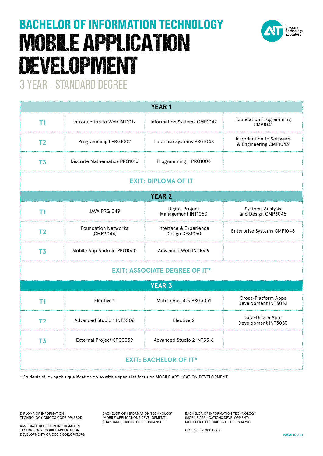

| <b>YEAR1</b>                         |                                         |                                          |                                                   |  |  |  |
|--------------------------------------|-----------------------------------------|------------------------------------------|---------------------------------------------------|--|--|--|
| T1                                   | Introduction to Web INT1012             | Information Systems CMP1042              | <b>Foundation Programming</b><br>CMP1041          |  |  |  |
| T <sub>2</sub>                       | Programming I PRG1002                   | Database Systems PRG1048                 | Introduction to Software<br>& Engineering CMP1043 |  |  |  |
| T <sub>3</sub>                       | <b>Discrete Mathematics PRG1010</b>     | Programming II PRG1006                   |                                                   |  |  |  |
| <b>EXIT: DIPLOMA OF IT</b>           |                                         |                                          |                                                   |  |  |  |
| <b>YEAR 2</b>                        |                                         |                                          |                                                   |  |  |  |
| T1                                   | JAVA PRG1049                            | Digital Project<br>Management INT1050    | <b>Systems Analysis</b><br>and Design CMP3045     |  |  |  |
| T <sub>2</sub>                       | <b>Foundation Networks</b><br>(CMP3044) | Interface & Experience<br>Design DES1060 | Enterprise Systems CMP1046                        |  |  |  |
| T <sub>3</sub>                       | Mobile App Android PRG1050              | Advanced Web INT1059                     |                                                   |  |  |  |
| <b>EXIT: ASSOCIATE DEGREE OF IT*</b> |                                         |                                          |                                                   |  |  |  |
| <b>YEAR 3</b>                        |                                         |                                          |                                                   |  |  |  |
| T <sub>1</sub>                       | Elective 1                              | Mobile App iOS PRG3051                   | Cross-Platform Apps<br>Development INT3052        |  |  |  |
| T <sub>2</sub>                       | Advanced Studio 1 INT3506               | Elective 2                               | Data-Driven Apps<br>Development INT3053           |  |  |  |
| T <sub>3</sub>                       | External Project SPC3039                | Advanced Studio 2 INT3516                |                                                   |  |  |  |
| <b>EXIT: BACHELOR OF IT*</b>         |                                         |                                          |                                                   |  |  |  |

\* Students studying this qualification do so with a specialist focus on MOBILE APPLICATION DEVELOPMENT

DIPLOMA OF INFORMATION TECHNOLOGY CRICOS CODE:094330D

ASSOCIATE DEGREE IN INFORMATION TECHNOLOGY (MOBILE APPLICATION DEVELOPMENT) CRICOS CODE:094329G BACHELOR OF INFORMATION TECHNOLOGY (MOBILE APPLICATIONS DEVELOPMENT) (STANDARD) CRICOS CODE:080428J

BACHELOR OF INFORMATION TECHNOLOGY (MOBILE APPLICATIONS DEVELOPMENT) (ACCELERATED) CRICOS CODE:080429G